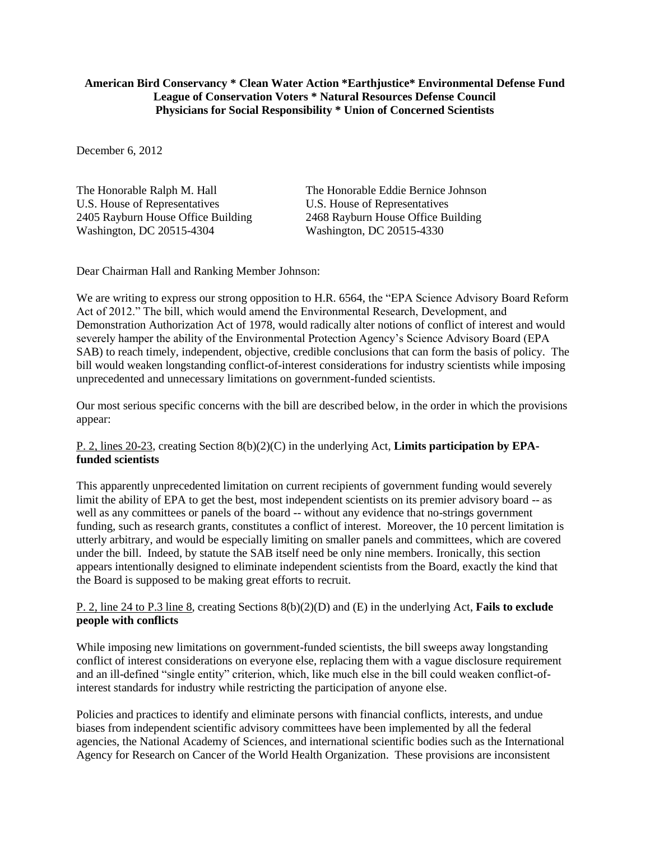#### **American Bird Conservancy \* Clean Water Action \*Earthjustice\* Environmental Defense Fund League of Conservation Voters \* Natural Resources Defense Council Physicians for Social Responsibility \* Union of Concerned Scientists**

December 6, 2012

2405 Rayburn House Office Building 2468 Rayburn House Office Building Washington, DC 20515-4304 Washington, DC 20515-4330

The Honorable Ralph M. Hall The Honorable Eddie Bernice Johnson U.S. House of Representatives<br>
2405 Rayburn House Office Building<br>
2468 Rayburn House Office Building

Dear Chairman Hall and Ranking Member Johnson:

We are writing to express our strong opposition to H.R. 6564, the "EPA Science Advisory Board Reform Act of 2012." The bill, which would amend the Environmental Research, Development, and Demonstration Authorization Act of 1978, would radically alter notions of conflict of interest and would severely hamper the ability of the Environmental Protection Agency's Science Advisory Board (EPA SAB) to reach timely, independent, objective, credible conclusions that can form the basis of policy. The bill would weaken longstanding conflict-of-interest considerations for industry scientists while imposing unprecedented and unnecessary limitations on government-funded scientists.

Our most serious specific concerns with the bill are described below, in the order in which the provisions appear:

## P. 2, lines 20-23, creating Section 8(b)(2)(C) in the underlying Act, **Limits participation by EPAfunded scientists**

This apparently unprecedented limitation on current recipients of government funding would severely limit the ability of EPA to get the best, most independent scientists on its premier advisory board -- as well as any committees or panels of the board -- without any evidence that no-strings government funding, such as research grants, constitutes a conflict of interest. Moreover, the 10 percent limitation is utterly arbitrary, and would be especially limiting on smaller panels and committees, which are covered under the bill. Indeed, by statute the SAB itself need be only nine members. Ironically, this section appears intentionally designed to eliminate independent scientists from the Board, exactly the kind that the Board is supposed to be making great efforts to recruit.

## P. 2, line 24 to P.3 line 8, creating Sections 8(b)(2)(D) and (E) in the underlying Act, **Fails to exclude people with conflicts**

While imposing new limitations on government-funded scientists, the bill sweeps away longstanding conflict of interest considerations on everyone else, replacing them with a vague disclosure requirement and an ill-defined "single entity" criterion, which, like much else in the bill could weaken conflict-ofinterest standards for industry while restricting the participation of anyone else.

Policies and practices to identify and eliminate persons with financial conflicts, interests, and undue biases from independent scientific advisory committees have been implemented by all the federal agencies, the National Academy of Sciences, and international scientific bodies such as the International Agency for Research on Cancer of the World Health Organization. These provisions are inconsistent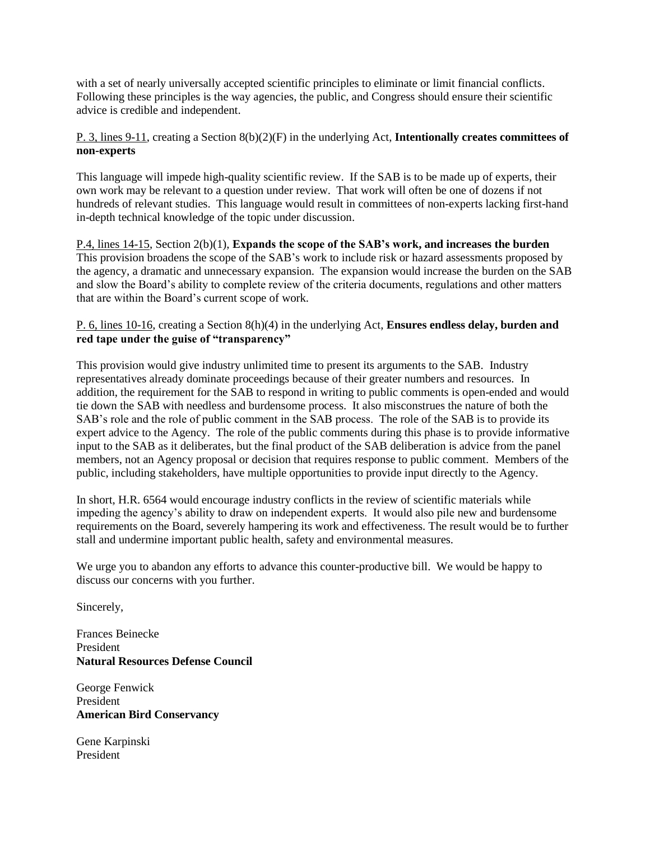with a set of nearly universally accepted scientific principles to eliminate or limit financial conflicts. Following these principles is the way agencies, the public, and Congress should ensure their scientific advice is credible and independent.

P. 3, lines 9-11, creating a Section 8(b)(2)(F) in the underlying Act, **Intentionally creates committees of non-experts**

This language will impede high-quality scientific review. If the SAB is to be made up of experts, their own work may be relevant to a question under review. That work will often be one of dozens if not hundreds of relevant studies. This language would result in committees of non-experts lacking first-hand in-depth technical knowledge of the topic under discussion.

P.4, lines 14-15, Section 2(b)(1), **Expands the scope of the SAB's work, and increases the burden** This provision broadens the scope of the SAB's work to include risk or hazard assessments proposed by the agency, a dramatic and unnecessary expansion. The expansion would increase the burden on the SAB and slow the Board's ability to complete review of the criteria documents, regulations and other matters that are within the Board's current scope of work.

#### P. 6, lines 10-16, creating a Section 8(h)(4) in the underlying Act, **Ensures endless delay, burden and red tape under the guise of "transparency"**

This provision would give industry unlimited time to present its arguments to the SAB. Industry representatives already dominate proceedings because of their greater numbers and resources. In addition, the requirement for the SAB to respond in writing to public comments is open-ended and would tie down the SAB with needless and burdensome process. It also misconstrues the nature of both the SAB's role and the role of public comment in the SAB process. The role of the SAB is to provide its expert advice to the Agency. The role of the public comments during this phase is to provide informative input to the SAB as it deliberates, but the final product of the SAB deliberation is advice from the panel members, not an Agency proposal or decision that requires response to public comment. Members of the public, including stakeholders, have multiple opportunities to provide input directly to the Agency.

In short, H.R. 6564 would encourage industry conflicts in the review of scientific materials while impeding the agency's ability to draw on independent experts. It would also pile new and burdensome requirements on the Board, severely hampering its work and effectiveness. The result would be to further stall and undermine important public health, safety and environmental measures.

We urge you to abandon any efforts to advance this counter-productive bill. We would be happy to discuss our concerns with you further.

Sincerely,

Frances Beinecke President **Natural Resources Defense Council**

George Fenwick President **American Bird Conservancy** 

Gene Karpinski President